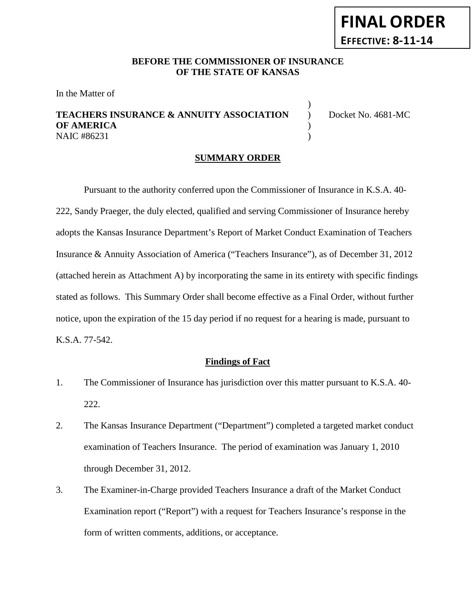# **FINAL ORDER EFFECTIVE: 8-11-14**

## **BEFORE THE COMMISSIONER OF INSURANCE OF THE STATE OF KANSAS**

In the Matter of

## **TEACHERS INSURANCE & ANNUITY ASSOCIATION** ) Docket No. 4681-MC **OF AMERICA** ) NAIC #86231 (1)

)

#### **SUMMARY ORDER**

Pursuant to the authority conferred upon the Commissioner of Insurance in K.S.A. 40- 222, Sandy Praeger, the duly elected, qualified and serving Commissioner of Insurance hereby adopts the Kansas Insurance Department's Report of Market Conduct Examination of Teachers Insurance & Annuity Association of America ("Teachers Insurance"), as of December 31, 2012 (attached herein as Attachment A) by incorporating the same in its entirety with specific findings stated as follows. This Summary Order shall become effective as a Final Order, without further notice, upon the expiration of the 15 day period if no request for a hearing is made, pursuant to K.S.A. 77-542.

#### **Findings of Fact**

- 1. The Commissioner of Insurance has jurisdiction over this matter pursuant to K.S.A. 40- 222.
- 2. The Kansas Insurance Department ("Department") completed a targeted market conduct examination of Teachers Insurance. The period of examination was January 1, 2010 through December 31, 2012.
- 3. The Examiner-in-Charge provided Teachers Insurance a draft of the Market Conduct Examination report ("Report") with a request for Teachers Insurance's response in the form of written comments, additions, or acceptance.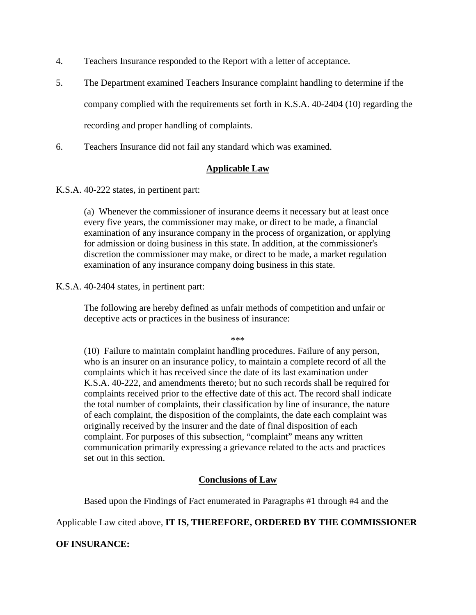- 4. Teachers Insurance responded to the Report with a letter of acceptance.
- 5. The Department examined Teachers Insurance complaint handling to determine if the company complied with the requirements set forth in K.S.A. 40-2404 (10) regarding the recording and proper handling of complaints.
- 6. Teachers Insurance did not fail any standard which was examined.

#### **Applicable Law**

K.S.A. 40-222 states, in pertinent part:

(a) Whenever the commissioner of insurance deems it necessary but at least once every five years, the commissioner may make, or direct to be made, a financial examination of any insurance company in the process of organization, or applying for admission or doing business in this state. In addition, at the commissioner's discretion the commissioner may make, or direct to be made, a market regulation examination of any insurance company doing business in this state.

#### K.S.A. 40-2404 states, in pertinent part:

The following are hereby defined as unfair methods of competition and unfair or deceptive acts or practices in the business of insurance:

\*\*\*

(10) Failure to maintain complaint handling procedures. Failure of any person, who is an insurer on an insurance policy, to maintain a complete record of all the complaints which it has received since the date of its last examination under K.S.A. 40-222, and amendments thereto; but no such records shall be required for complaints received prior to the effective date of this act. The record shall indicate the total number of complaints, their classification by line of insurance, the nature of each complaint, the disposition of the complaints, the date each complaint was originally received by the insurer and the date of final disposition of each complaint. For purposes of this subsection, "complaint" means any written communication primarily expressing a grievance related to the acts and practices set out in this section.

#### **Conclusions of Law**

Based upon the Findings of Fact enumerated in Paragraphs #1 through #4 and the

# Applicable Law cited above, **IT IS, THEREFORE, ORDERED BY THE COMMISSIONER**

**OF INSURANCE:**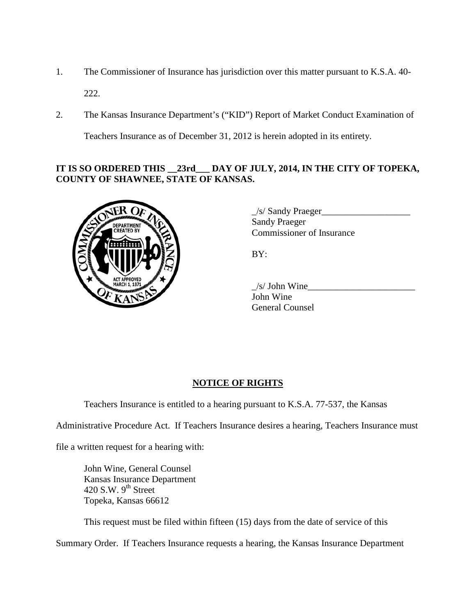- 1. The Commissioner of Insurance has jurisdiction over this matter pursuant to K.S.A. 40- 222.
- 2. The Kansas Insurance Department's ("KID") Report of Market Conduct Examination of

Teachers Insurance as of December 31, 2012 is herein adopted in its entirety.

# **IT IS SO ORDERED THIS \_\_23rd\_\_\_ DAY OF JULY, 2014, IN THE CITY OF TOPEKA, COUNTY OF SHAWNEE, STATE OF KANSAS.**



 $\angle$ s/ Sandy Praeger $\angle$ Sandy Praeger Commissioner of Insurance

BY:

 $/s/$  John Wine John Wine General Counsel

## **NOTICE OF RIGHTS**

Teachers Insurance is entitled to a hearing pursuant to K.S.A. 77-537, the Kansas

Administrative Procedure Act. If Teachers Insurance desires a hearing, Teachers Insurance must

file a written request for a hearing with:

John Wine, General Counsel Kansas Insurance Department  $420$  S.W.  $9<sup>th</sup>$  Street Topeka, Kansas 66612

This request must be filed within fifteen (15) days from the date of service of this

Summary Order. If Teachers Insurance requests a hearing, the Kansas Insurance Department